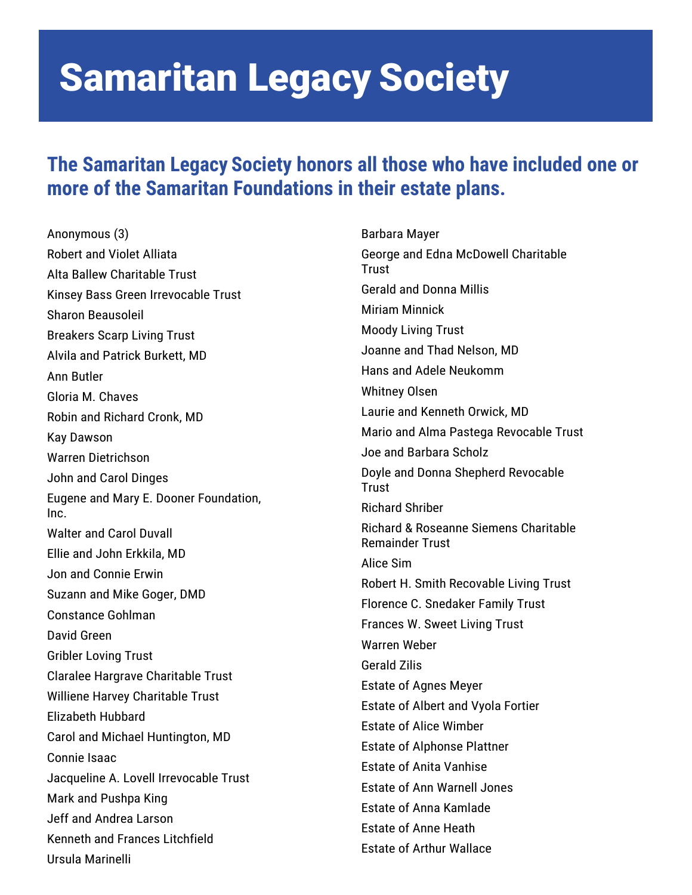#### **The Samaritan Legacy Society honors all those who have included one or more of the Samaritan Foundations in their estate plans.**

Anonymous (3) Robert and Violet Alliata Alta Ballew Charitable Trust Kinsey Bass Green Irrevocable Trust Sharon Beausoleil Breakers Scarp Living Trust Alvila and Patrick Burkett, MD Ann Butler Gloria M. Chaves Robin and Richard Cronk, MD Kay Dawson Warren Dietrichson John and Carol Dinges Eugene and Mary E. Dooner Foundation, Inc. Walter and Carol Duvall Ellie and John Erkkila, MD Jon and Connie Erwin Suzann and Mike Goger, DMD Constance Gohlman David Green Gribler Loving Trust Claralee Hargrave Charitable Trust Williene Harvey Charitable Trust Elizabeth Hubbard Carol and Michael Huntington, MD Connie Isaac Jacqueline A. Lovell Irrevocable Trust Mark and Pushpa King Jeff and Andrea Larson Kenneth and Frances Litchfield Ursula Marinelli

Barbara Mayer George and Edna McDowell Charitable **Trust** Gerald and Donna Millis Miriam Minnick Moody Living Trust Joanne and Thad Nelson, MD Hans and Adele Neukomm Whitney Olsen Laurie and Kenneth Orwick, MD Mario and Alma Pastega Revocable Trust Joe and Barbara Scholz Doyle and Donna Shepherd Revocable Trust Richard Shriber Richard & Roseanne Siemens Charitable Remainder Trust Alice Sim Robert H. Smith Recovable Living Trust Florence C. Snedaker Family Trust Frances W. Sweet Living Trust Warren Weber Gerald Zilis Estate of Agnes Meyer Estate of Albert and Vyola Fortier Estate of Alice Wimber Estate of Alphonse Plattner Estate of Anita Vanhise Estate of Ann Warnell Jones Estate of Anna Kamlade Estate of Anne Heath Estate of Arthur Wallace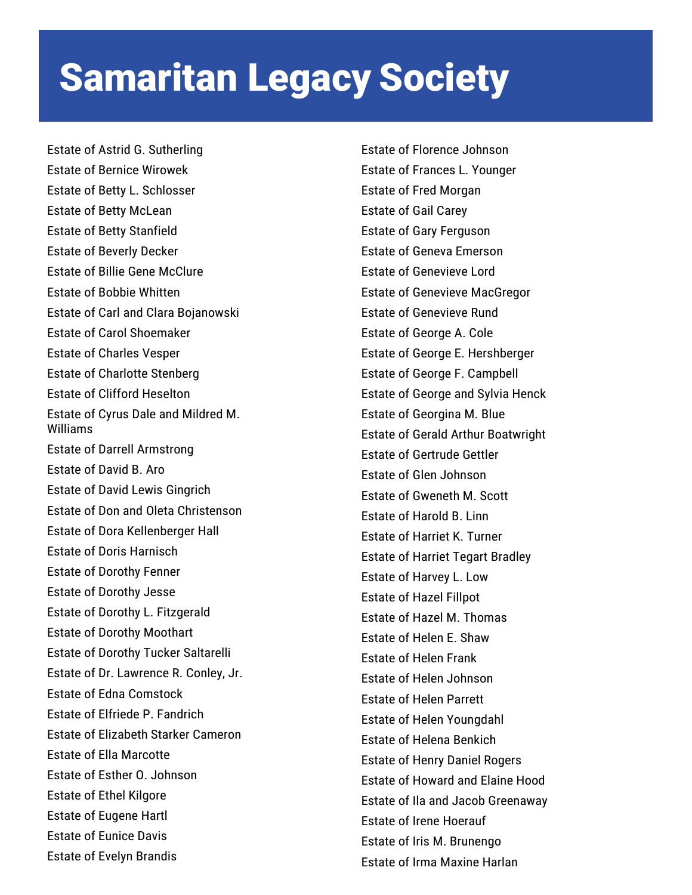Estate of Astrid G. Sutherling Estate of Bernice Wirowek Estate of Betty L. Schlosser Estate of Betty McLean Estate of Betty Stanfield Estate of Beverly Decker Estate of Billie Gene McClure Estate of Bobbie Whitten Estate of Carl and Clara Bojanowski Estate of Carol Shoemaker Estate of Charles Vesper Estate of Charlotte Stenberg Estate of Clifford Heselton Estate of Cyrus Dale and Mildred M. Williams Estate of Darrell Armstrong Estate of David B. Aro Estate of David Lewis Gingrich Estate of Don and Oleta Christenson Estate of Dora Kellenberger Hall Estate of Doris Harnisch Estate of Dorothy Fenner Estate of Dorothy Jesse Estate of Dorothy L. Fitzgerald Estate of Dorothy Moothart Estate of Dorothy Tucker Saltarelli Estate of Dr. Lawrence R. Conley, Jr. Estate of Edna Comstock Estate of Elfriede P. Fandrich Estate of Elizabeth Starker Cameron Estate of Ella Marcotte Estate of Esther O. Johnson Estate of Ethel Kilgore Estate of Eugene Hartl Estate of Eunice Davis Estate of Evelyn Brandis

Estate of Florence Johnson Estate of Frances L. Younger Estate of Fred Morgan Estate of Gail Carey Estate of Gary Ferguson Estate of Geneva Emerson Estate of Genevieve Lord Estate of Genevieve MacGregor Estate of Genevieve Rund Estate of George A. Cole Estate of George E. Hershberger Estate of George F. Campbell Estate of George and Sylvia Henck Estate of Georgina M. Blue Estate of Gerald Arthur Boatwright Estate of Gertrude Gettler Estate of Glen Johnson Estate of Gweneth M. Scott Estate of Harold B. Linn Estate of Harriet K. Turner Estate of Harriet Tegart Bradley Estate of Harvey L. Low Estate of Hazel Fillpot Estate of Hazel M. Thomas Estate of Helen E. Shaw Estate of Helen Frank Estate of Helen Johnson Estate of Helen Parrett Estate of Helen Youngdahl Estate of Helena Benkich Estate of Henry Daniel Rogers Estate of Howard and Elaine Hood Estate of Ila and Jacob Greenaway Estate of Irene Hoerauf Estate of Iris M. Brunengo Estate of Irma Maxine Harlan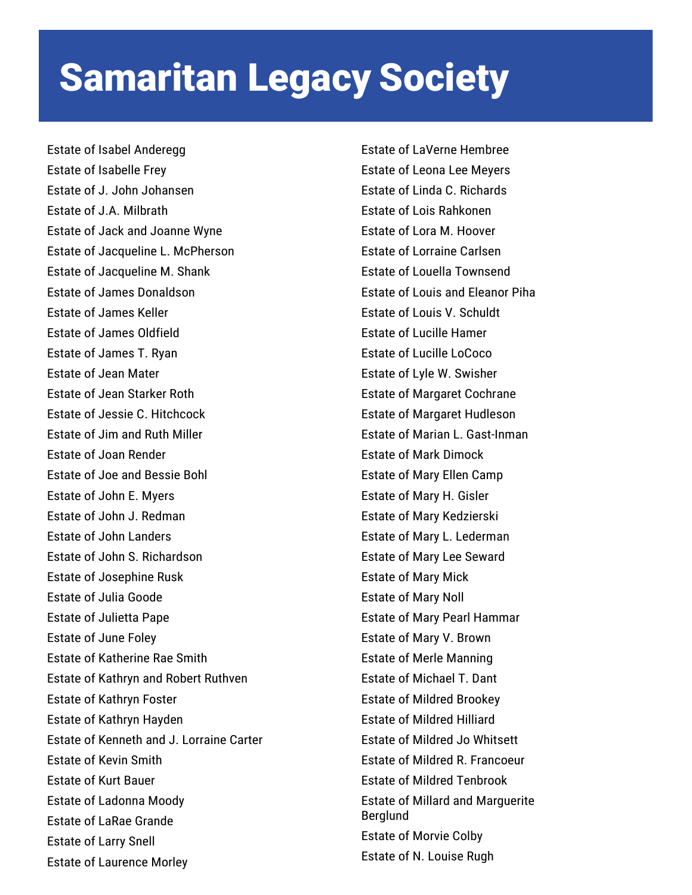Estate of Isabel Anderegg Estate of Isabelle Frey Estate of J. John Johansen Estate of J.A. Milbrath Estate of Jack and Joanne Wyne Estate of Jacqueline L. McPherson Estate of Jacqueline M. Shank Estate of James Donaldson Estate of James Keller Estate of James Oldfield Estate of James T. Ryan Estate of Jean Mater Estate of Jean Starker Roth Estate of Jessie C. Hitchcock Estate of Jim and Ruth Miller Estate of Joan Render Estate of Joe and Bessie Bohl Estate of John E. Myers Estate of John J. Redman Estate of John Landers Estate of John S. Richardson Estate of Josephine Rusk Estate of Julia Goode Estate of Julietta Pape Estate of June Foley Estate of Katherine Rae Smith Estate of Kathryn and Robert Ruthven Estate of Kathryn Foster Estate of Kathryn Hayden Estate of Kenneth and J. Lorraine Carter Estate of Kevin Smith Estate of Kurt Bauer Estate of Ladonna Moody Estate of LaRae Grande Estate of Larry Snell Estate of Laurence Morley

Estate of LaVerne Hembree Estate of Leona Lee Meyers Estate of Linda C. Richards Estate of Lois Rahkonen Estate of Lora M. Hoover Estate of Lorraine Carlsen Estate of Louella Townsend Estate of Louis and Eleanor Piha Estate of Louis V. Schuldt Estate of Lucille Hamer Estate of Lucille LoCoco Estate of Lyle W. Swisher Estate of Margaret Cochrane Estate of Margaret Hudleson Estate of Marian L. Gast-Inman Estate of Mark Dimock Estate of Mary Ellen Camp Estate of Mary H. Gisler Estate of Mary Kedzierski Estate of Mary L. Lederman Estate of Mary Lee Seward Estate of Mary Mick Estate of Mary Noll Estate of Mary Pearl Hammar Estate of Mary V. Brown Estate of Merle Manning Estate of Michael T. Dant Estate of Mildred Brookey Estate of Mildred Hilliard Estate of Mildred Jo Whitsett Estate of Mildred R. Francoeur Estate of Mildred Tenbrook Estate of Millard and Marguerite Berglund Estate of Morvie Colby Estate of N. Louise Rugh